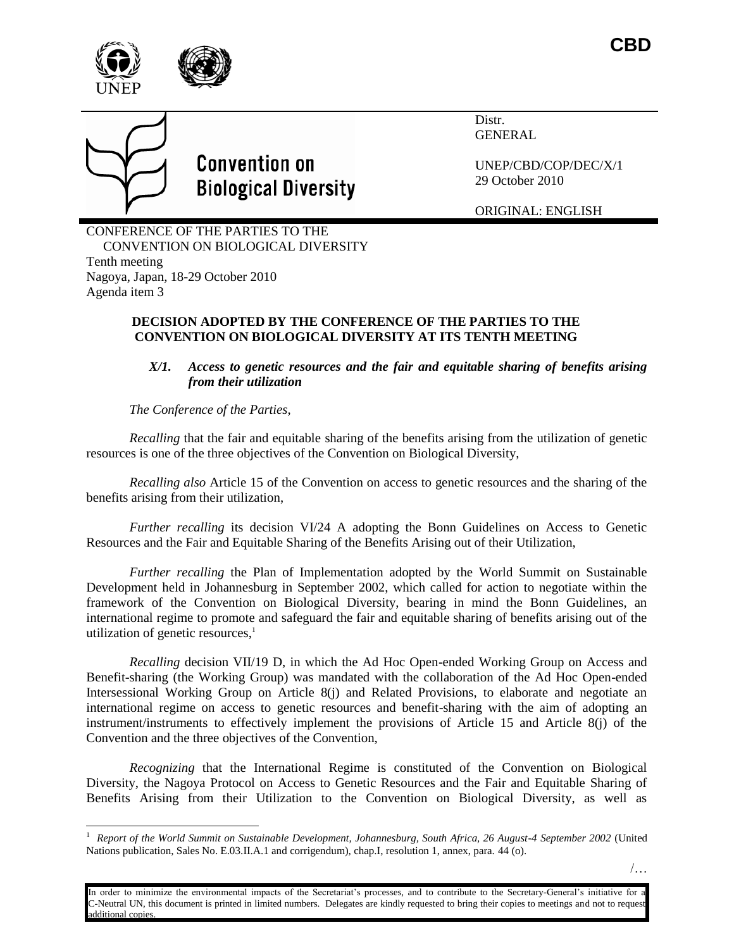



l

# **Convention on Biological Diversity**

Distr. GENERAL

UNEP/CBD/COP/DEC/X/1 29 October 2010

ORIGINAL: ENGLISH

CONFERENCE OF THE PARTIES TO THE CONVENTION ON BIOLOGICAL DIVERSITY Tenth meeting Nagoya, Japan, 18-29 October 2010 Agenda item 3

# **DECISION ADOPTED BY THE CONFERENCE OF THE PARTIES TO THE CONVENTION ON BIOLOGICAL DIVERSITY AT ITS TENTH MEETING**

# *X/1. Access to genetic resources and the fair and equitable sharing of benefits arising from their utilization*

*The Conference of the Parties*,

*Recalling* that the fair and equitable sharing of the benefits arising from the utilization of genetic resources is one of the three objectives of the Convention on Biological Diversity,

*Recalling also* Article 15 of the Convention on access to genetic resources and the sharing of the benefits arising from their utilization,

*Further recalling* its decision VI/24 A adopting the Bonn Guidelines on Access to Genetic Resources and the Fair and Equitable Sharing of the Benefits Arising out of their Utilization,

*Further recalling* the Plan of Implementation adopted by the World Summit on Sustainable Development held in Johannesburg in September 2002, which called for action to negotiate within the framework of the Convention on Biological Diversity, bearing in mind the Bonn Guidelines, an international regime to promote and safeguard the fair and equitable sharing of benefits arising out of the utilization of genetic resources, $<sup>1</sup>$ </sup>

*Recalling* decision VII/19 D, in which the Ad Hoc Open-ended Working Group on Access and Benefit-sharing (the Working Group) was mandated with the collaboration of the Ad Hoc Open-ended Intersessional Working Group on Article 8(j) and Related Provisions, to elaborate and negotiate an international regime on access to genetic resources and benefit-sharing with the aim of adopting an instrument/instruments to effectively implement the provisions of Article 15 and Article 8(j) of the Convention and the three objectives of the Convention,

*Recognizing* that the International Regime is constituted of the Convention on Biological Diversity, the Nagoya Protocol on Access to Genetic Resources and the Fair and Equitable Sharing of Benefits Arising from their Utilization to the Convention on Biological Diversity, as well as

<sup>1</sup> *Report of the World Summit on Sustainable Development, Johannesburg, South Africa, 26 August-4 September 2002* (United Nations publication, Sales No. E.03.II.A.1 and corrigendum), chap.I, resolution 1, annex, para. 44 (o).

In order to minimize the environmental impacts of the Secretariat's processes, and to contribute to the Secretary-General's initiative for a C-Neutral UN, this document is printed in limited numbers. Delegates are kindly requested to bring their copies to meetings and not to request additional copies.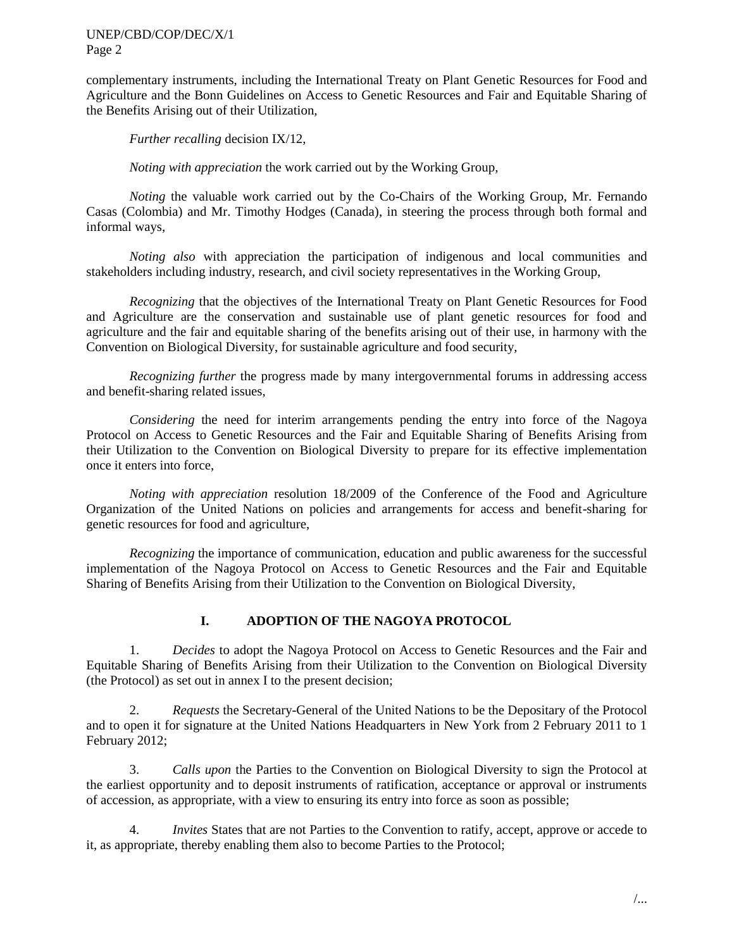complementary instruments, including the International Treaty on Plant Genetic Resources for Food and Agriculture and the Bonn Guidelines on Access to Genetic Resources and Fair and Equitable Sharing of the Benefits Arising out of their Utilization,

*Further recalling* decision IX/12,

*Noting with appreciation* the work carried out by the Working Group,

*Noting* the valuable work carried out by the Co-Chairs of the Working Group, Mr. Fernando Casas (Colombia) and Mr. Timothy Hodges (Canada), in steering the process through both formal and informal ways,

*Noting also* with appreciation the participation of indigenous and local communities and stakeholders including industry, research, and civil society representatives in the Working Group,

*Recognizing* that the objectives of the International Treaty on Plant Genetic Resources for Food and Agriculture are the conservation and sustainable use of plant genetic resources for food and agriculture and the fair and equitable sharing of the benefits arising out of their use, in harmony with the Convention on Biological Diversity, for sustainable agriculture and food security,

*Recognizing further* the progress made by many intergovernmental forums in addressing access and benefit-sharing related issues,

*Considering* the need for interim arrangements pending the entry into force of the Nagoya Protocol on Access to Genetic Resources and the Fair and Equitable Sharing of Benefits Arising from their Utilization to the Convention on Biological Diversity to prepare for its effective implementation once it enters into force,

*Noting with appreciation* resolution 18/2009 of the Conference of the Food and Agriculture Organization of the United Nations on policies and arrangements for access and benefit-sharing for genetic resources for food and agriculture,

*Recognizing* the importance of communication, education and public awareness for the successful implementation of the Nagoya Protocol on Access to Genetic Resources and the Fair and Equitable Sharing of Benefits Arising from their Utilization to the Convention on Biological Diversity,

# **I. ADOPTION OF THE NAGOYA PROTOCOL**

1. *Decides* to adopt the Nagoya Protocol on Access to Genetic Resources and the Fair and Equitable Sharing of Benefits Arising from their Utilization to the Convention on Biological Diversity (the Protocol) as set out in annex I to the present decision;

2. *Requests* the Secretary-General of the United Nations to be the Depositary of the Protocol and to open it for signature at the United Nations Headquarters in New York from 2 February 2011 to 1 February 2012;

3. *Calls upon* the Parties to the Convention on Biological Diversity to sign the Protocol at the earliest opportunity and to deposit instruments of ratification, acceptance or approval or instruments of accession, as appropriate, with a view to ensuring its entry into force as soon as possible;

4. *Invites* States that are not Parties to the Convention to ratify, accept, approve or accede to it, as appropriate, thereby enabling them also to become Parties to the Protocol;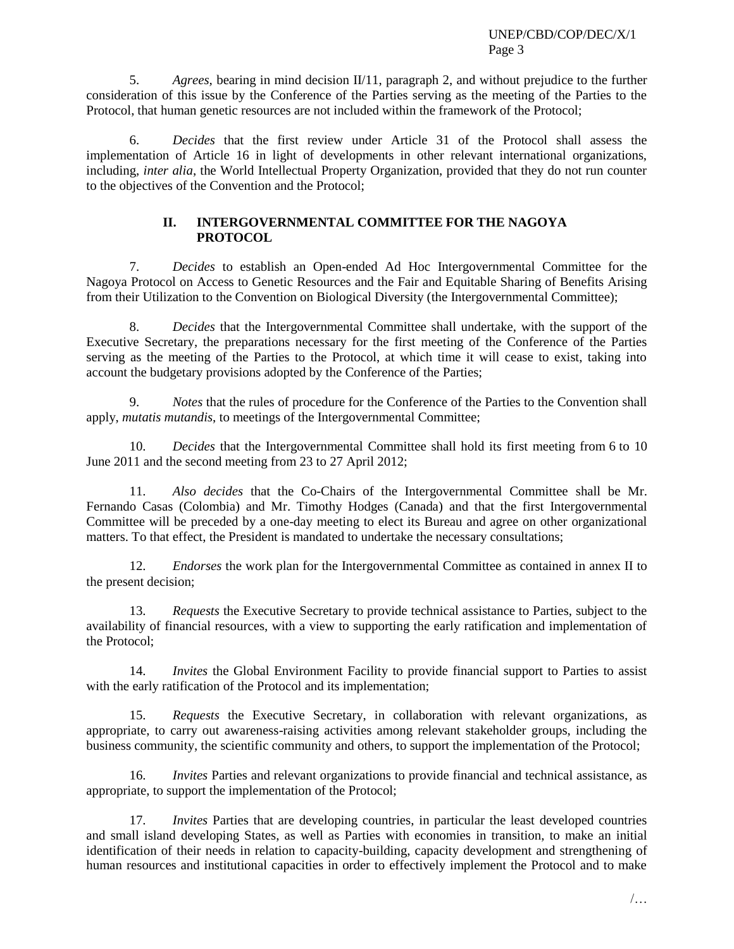5. *Agrees,* bearing in mind decision II/11, paragraph 2, and without prejudice to the further consideration of this issue by the Conference of the Parties serving as the meeting of the Parties to the Protocol, that human genetic resources are not included within the framework of the Protocol;

6. *Decides* that the first review under Article 31 of the Protocol shall assess the implementation of Article 16 in light of developments in other relevant international organizations, including, *inter alia*, the World Intellectual Property Organization, provided that they do not run counter to the objectives of the Convention and the Protocol;

# **II. INTERGOVERNMENTAL COMMITTEE FOR THE NAGOYA PROTOCOL**

7. *Decides* to establish an Open-ended Ad Hoc Intergovernmental Committee for the Nagoya Protocol on Access to Genetic Resources and the Fair and Equitable Sharing of Benefits Arising from their Utilization to the Convention on Biological Diversity (the Intergovernmental Committee);

8. *Decides* that the Intergovernmental Committee shall undertake, with the support of the Executive Secretary, the preparations necessary for the first meeting of the Conference of the Parties serving as the meeting of the Parties to the Protocol, at which time it will cease to exist, taking into account the budgetary provisions adopted by the Conference of the Parties;

9. *Notes* that the rules of procedure for the Conference of the Parties to the Convention shall apply, *mutatis mutandis*, to meetings of the Intergovernmental Committee;

10. *Decides* that the Intergovernmental Committee shall hold its first meeting from 6 to 10 June 2011 and the second meeting from 23 to 27 April 2012;

11. *Also decides* that the Co-Chairs of the Intergovernmental Committee shall be Mr. Fernando Casas (Colombia) and Mr. Timothy Hodges (Canada) and that the first Intergovernmental Committee will be preceded by a one-day meeting to elect its Bureau and agree on other organizational matters. To that effect, the President is mandated to undertake the necessary consultations;

12. *Endorses* the work plan for the Intergovernmental Committee as contained in annex II to the present decision;

13. *Requests* the Executive Secretary to provide technical assistance to Parties, subject to the availability of financial resources, with a view to supporting the early ratification and implementation of the Protocol;

14. *Invites* the Global Environment Facility to provide financial support to Parties to assist with the early ratification of the Protocol and its implementation;

15. *Requests* the Executive Secretary, in collaboration with relevant organizations, as appropriate, to carry out awareness-raising activities among relevant stakeholder groups, including the business community, the scientific community and others, to support the implementation of the Protocol;

16. *Invites* Parties and relevant organizations to provide financial and technical assistance, as appropriate, to support the implementation of the Protocol;

17. *Invites* Parties that are developing countries, in particular the least developed countries and small island developing States, as well as Parties with economies in transition, to make an initial identification of their needs in relation to capacity-building, capacity development and strengthening of human resources and institutional capacities in order to effectively implement the Protocol and to make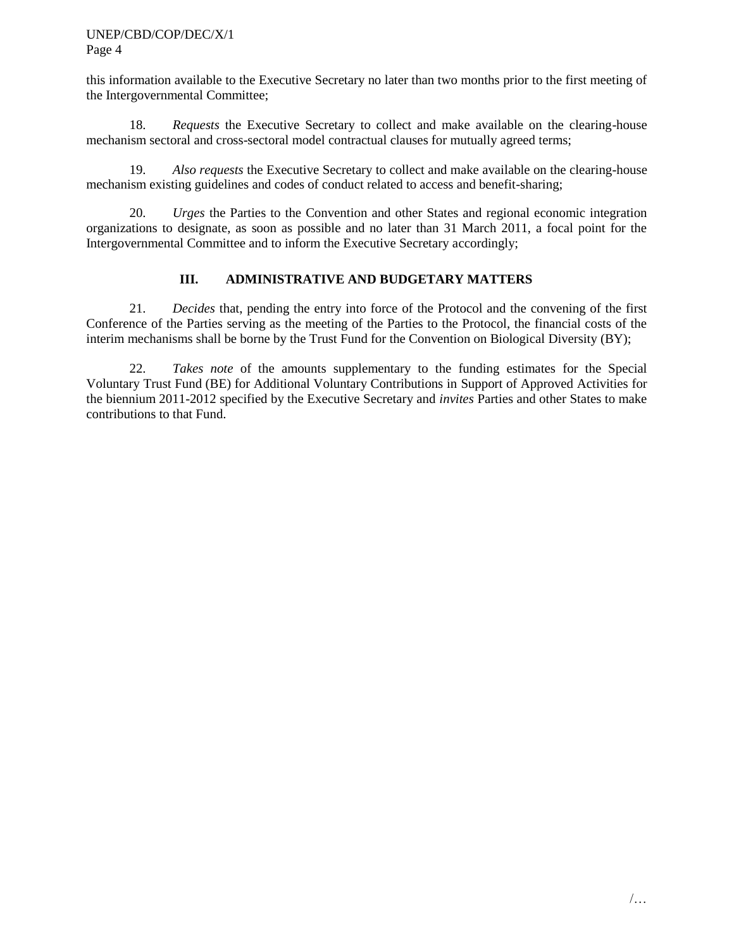this information available to the Executive Secretary no later than two months prior to the first meeting of the Intergovernmental Committee;

18. *Requests* the Executive Secretary to collect and make available on the clearing-house mechanism sectoral and cross-sectoral model contractual clauses for mutually agreed terms;

19. *Also requests* the Executive Secretary to collect and make available on the clearing-house mechanism existing guidelines and codes of conduct related to access and benefit-sharing;

20. *Urges* the Parties to the Convention and other States and regional economic integration organizations to designate, as soon as possible and no later than 31 March 2011, a focal point for the Intergovernmental Committee and to inform the Executive Secretary accordingly;

# **III. ADMINISTRATIVE AND BUDGETARY MATTERS**

21. *Decides* that, pending the entry into force of the Protocol and the convening of the first Conference of the Parties serving as the meeting of the Parties to the Protocol, the financial costs of the interim mechanisms shall be borne by the Trust Fund for the Convention on Biological Diversity (BY);

22. *Takes note* of the amounts supplementary to the funding estimates for the Special Voluntary Trust Fund (BE) for Additional Voluntary Contributions in Support of Approved Activities for the biennium 2011-2012 specified by the Executive Secretary and *invites* Parties and other States to make contributions to that Fund.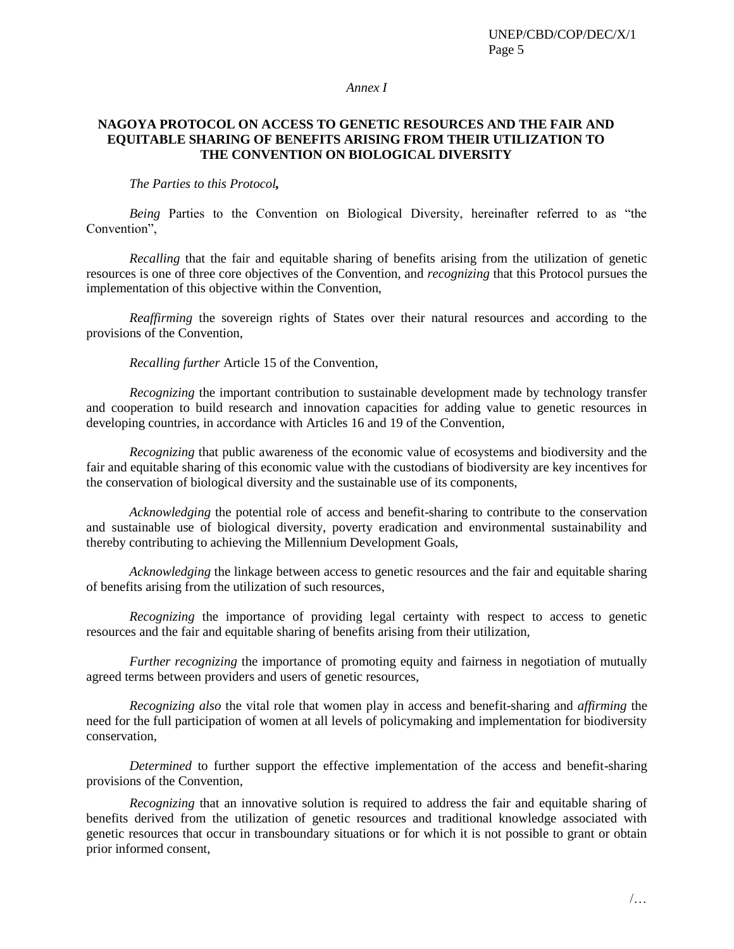### *Annex I*

### **NAGOYA PROTOCOL ON ACCESS TO GENETIC RESOURCES AND THE FAIR AND EQUITABLE SHARING OF BENEFITS ARISING FROM THEIR UTILIZATION TO THE CONVENTION ON BIOLOGICAL DIVERSITY**

### *The Parties to this Protocol,*

*Being* Parties to the Convention on Biological Diversity, hereinafter referred to as "the Convention",

*Recalling* that the fair and equitable sharing of benefits arising from the utilization of genetic resources is one of three core objectives of the Convention, and *recognizing* that this Protocol pursues the implementation of this objective within the Convention,

*Reaffirming* the sovereign rights of States over their natural resources and according to the provisions of the Convention,

*Recalling further* Article 15 of the Convention,

*Recognizing* the important contribution to sustainable development made by technology transfer and cooperation to build research and innovation capacities for adding value to genetic resources in developing countries, in accordance with Articles 16 and 19 of the Convention,

*Recognizing* that public awareness of the economic value of ecosystems and biodiversity and the fair and equitable sharing of this economic value with the custodians of biodiversity are key incentives for the conservation of biological diversity and the sustainable use of its components,

*Acknowledging* the potential role of access and benefit-sharing to contribute to the conservation and sustainable use of biological diversity, poverty eradication and environmental sustainability and thereby contributing to achieving the Millennium Development Goals,

*Acknowledging* the linkage between access to genetic resources and the fair and equitable sharing of benefits arising from the utilization of such resources,

*Recognizing* the importance of providing legal certainty with respect to access to genetic resources and the fair and equitable sharing of benefits arising from their utilization,

*Further recognizing* the importance of promoting equity and fairness in negotiation of mutually agreed terms between providers and users of genetic resources,

*Recognizing also* the vital role that women play in access and benefit-sharing and *affirming* the need for the full participation of women at all levels of policymaking and implementation for biodiversity conservation,

*Determined* to further support the effective implementation of the access and benefit-sharing provisions of the Convention,

*Recognizing* that an innovative solution is required to address the fair and equitable sharing of benefits derived from the utilization of genetic resources and traditional knowledge associated with genetic resources that occur in transboundary situations or for which it is not possible to grant or obtain prior informed consent,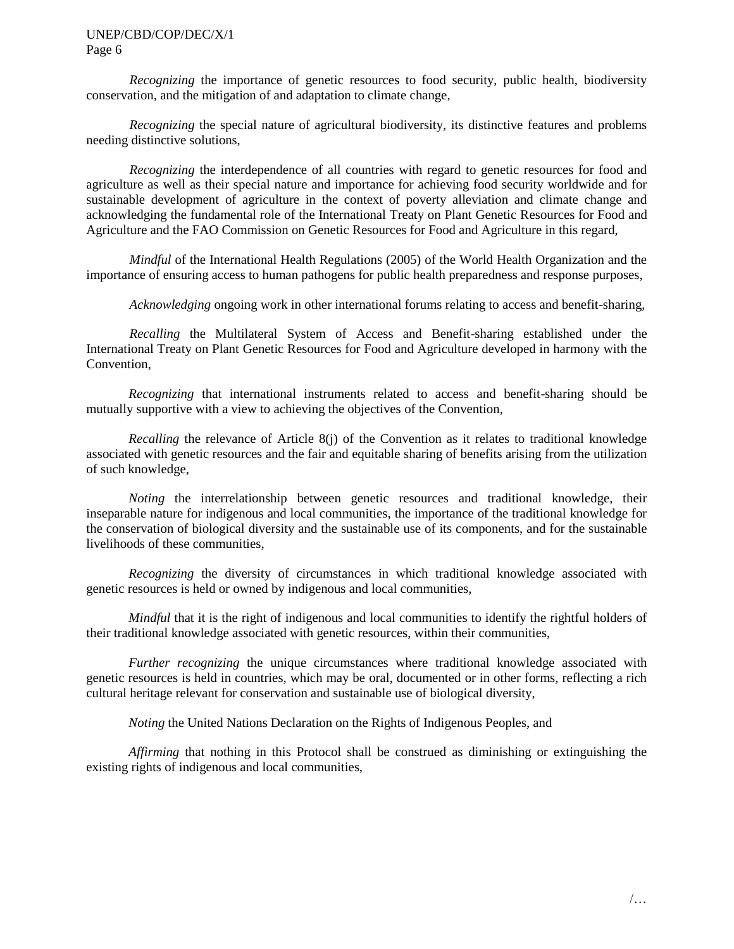*Recognizing* the importance of genetic resources to food security, public health, biodiversity conservation, and the mitigation of and adaptation to climate change,

*Recognizing* the special nature of agricultural biodiversity, its distinctive features and problems needing distinctive solutions,

*Recognizing* the interdependence of all countries with regard to genetic resources for food and agriculture as well as their special nature and importance for achieving food security worldwide and for sustainable development of agriculture in the context of poverty alleviation and climate change and acknowledging the fundamental role of the International Treaty on Plant Genetic Resources for Food and Agriculture and the FAO Commission on Genetic Resources for Food and Agriculture in this regard,

*Mindful* of the International Health Regulations (2005) of the World Health Organization and the importance of ensuring access to human pathogens for public health preparedness and response purposes,

*Acknowledging* ongoing work in other international forums relating to access and benefit-sharing,

*Recalling* the Multilateral System of Access and Benefit-sharing established under the International Treaty on Plant Genetic Resources for Food and Agriculture developed in harmony with the Convention,

*Recognizing* that international instruments related to access and benefit-sharing should be mutually supportive with a view to achieving the objectives of the Convention,

*Recalling* the relevance of Article 8(j) of the Convention as it relates to traditional knowledge associated with genetic resources and the fair and equitable sharing of benefits arising from the utilization of such knowledge,

*Noting* the interrelationship between genetic resources and traditional knowledge, their inseparable nature for indigenous and local communities, the importance of the traditional knowledge for the conservation of biological diversity and the sustainable use of its components, and for the sustainable livelihoods of these communities,

*Recognizing* the diversity of circumstances in which traditional knowledge associated with genetic resources is held or owned by indigenous and local communities,

*Mindful* that it is the right of indigenous and local communities to identify the rightful holders of their traditional knowledge associated with genetic resources, within their communities,

*Further recognizing* the unique circumstances where traditional knowledge associated with genetic resources is held in countries, which may be oral, documented or in other forms, reflecting a rich cultural heritage relevant for conservation and sustainable use of biological diversity,

*Noting* the United Nations Declaration on the Rights of Indigenous Peoples, and

*Affirming* that nothing in this Protocol shall be construed as diminishing or extinguishing the existing rights of indigenous and local communities,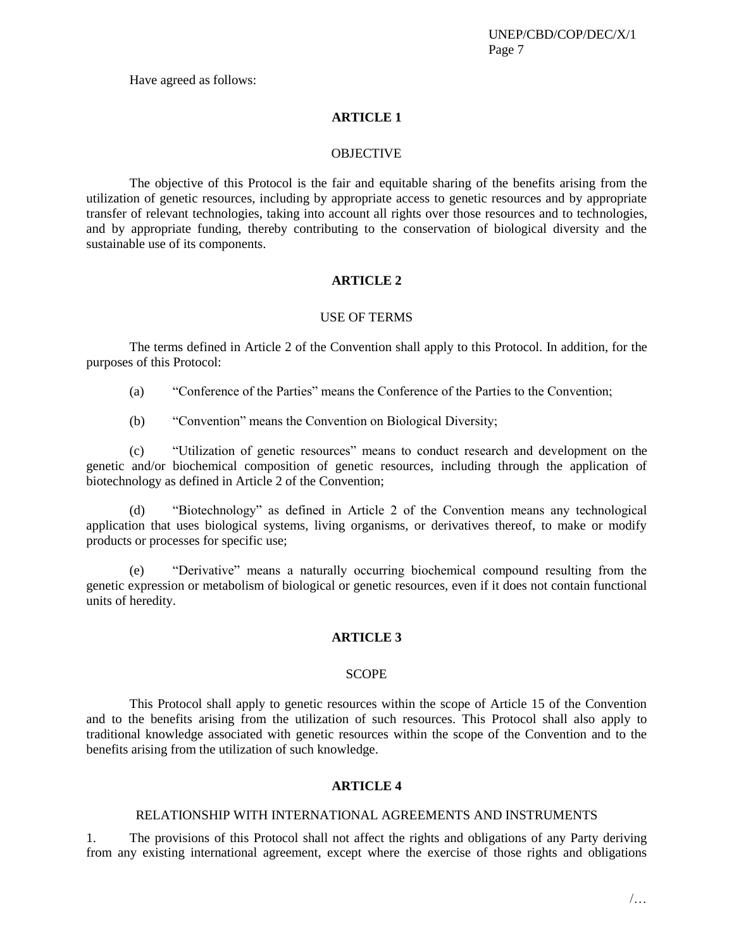Have agreed as follows:

#### **ARTICLE 1**

### OBJECTIVE

The objective of this Protocol is the fair and equitable sharing of the benefits arising from the utilization of genetic resources, including by appropriate access to genetic resources and by appropriate transfer of relevant technologies, taking into account all rights over those resources and to technologies, and by appropriate funding, thereby contributing to the conservation of biological diversity and the sustainable use of its components.

### **ARTICLE 2**

#### USE OF TERMS

The terms defined in Article 2 of the Convention shall apply to this Protocol. In addition, for the purposes of this Protocol:

(a) "Conference of the Parties" means the Conference of the Parties to the Convention;

(b) "Convention" means the Convention on Biological Diversity;

(c) "Utilization of genetic resources" means to conduct research and development on the genetic and/or biochemical composition of genetic resources, including through the application of biotechnology as defined in Article 2 of the Convention;

(d) "Biotechnology" as defined in Article 2 of the Convention means any technological application that uses biological systems, living organisms, or derivatives thereof, to make or modify products or processes for specific use;

(e) "Derivative" means a naturally occurring biochemical compound resulting from the genetic expression or metabolism of biological or genetic resources, even if it does not contain functional units of heredity.

### **ARTICLE 3**

#### **SCOPE**

This Protocol shall apply to genetic resources within the scope of Article 15 of the Convention and to the benefits arising from the utilization of such resources. This Protocol shall also apply to traditional knowledge associated with genetic resources within the scope of the Convention and to the benefits arising from the utilization of such knowledge.

#### **ARTICLE 4**

### RELATIONSHIP WITH INTERNATIONAL AGREEMENTS AND INSTRUMENTS

1. The provisions of this Protocol shall not affect the rights and obligations of any Party deriving from any existing international agreement, except where the exercise of those rights and obligations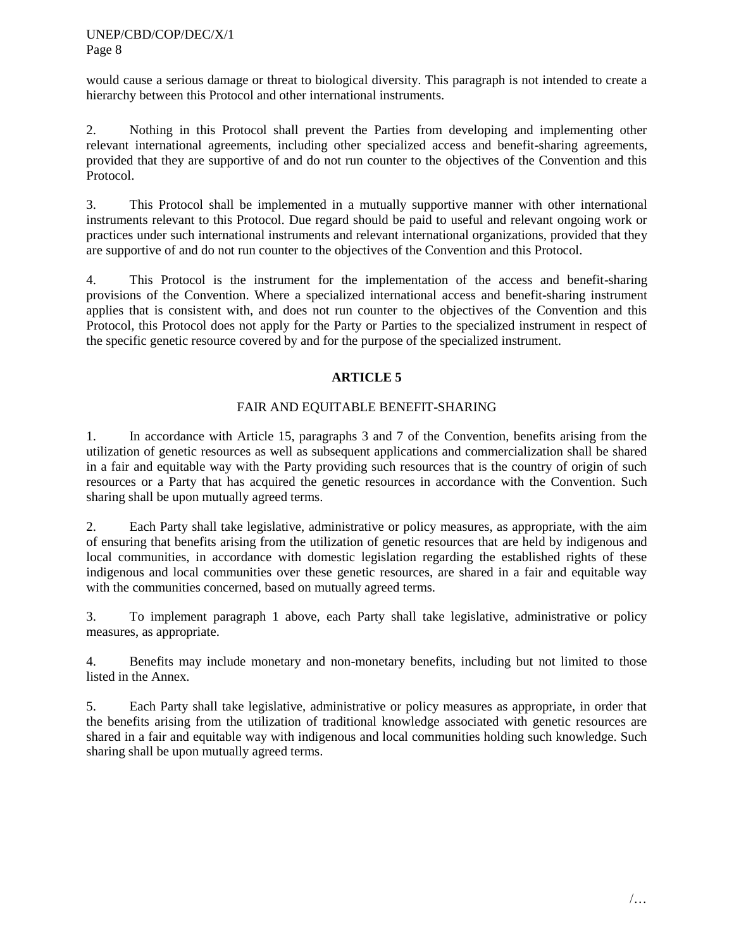would cause a serious damage or threat to biological diversity. This paragraph is not intended to create a hierarchy between this Protocol and other international instruments.

2. Nothing in this Protocol shall prevent the Parties from developing and implementing other relevant international agreements, including other specialized access and benefit-sharing agreements, provided that they are supportive of and do not run counter to the objectives of the Convention and this Protocol.

3. This Protocol shall be implemented in a mutually supportive manner with other international instruments relevant to this Protocol. Due regard should be paid to useful and relevant ongoing work or practices under such international instruments and relevant international organizations, provided that they are supportive of and do not run counter to the objectives of the Convention and this Protocol.

4. This Protocol is the instrument for the implementation of the access and benefit-sharing provisions of the Convention. Where a specialized international access and benefit-sharing instrument applies that is consistent with, and does not run counter to the objectives of the Convention and this Protocol, this Protocol does not apply for the Party or Parties to the specialized instrument in respect of the specific genetic resource covered by and for the purpose of the specialized instrument.

# **ARTICLE 5**

# FAIR AND EQUITABLE BENEFIT-SHARING

1. In accordance with Article 15, paragraphs 3 and 7 of the Convention, benefits arising from the utilization of genetic resources as well as subsequent applications and commercialization shall be shared in a fair and equitable way with the Party providing such resources that is the country of origin of such resources or a Party that has acquired the genetic resources in accordance with the Convention. Such sharing shall be upon mutually agreed terms.

2. Each Party shall take legislative, administrative or policy measures, as appropriate, with the aim of ensuring that benefits arising from the utilization of genetic resources that are held by indigenous and local communities, in accordance with domestic legislation regarding the established rights of these indigenous and local communities over these genetic resources, are shared in a fair and equitable way with the communities concerned, based on mutually agreed terms.

3. To implement paragraph 1 above, each Party shall take legislative, administrative or policy measures, as appropriate.

4. Benefits may include monetary and non-monetary benefits, including but not limited to those listed in the Annex.

5. Each Party shall take legislative, administrative or policy measures as appropriate, in order that the benefits arising from the utilization of traditional knowledge associated with genetic resources are shared in a fair and equitable way with indigenous and local communities holding such knowledge. Such sharing shall be upon mutually agreed terms.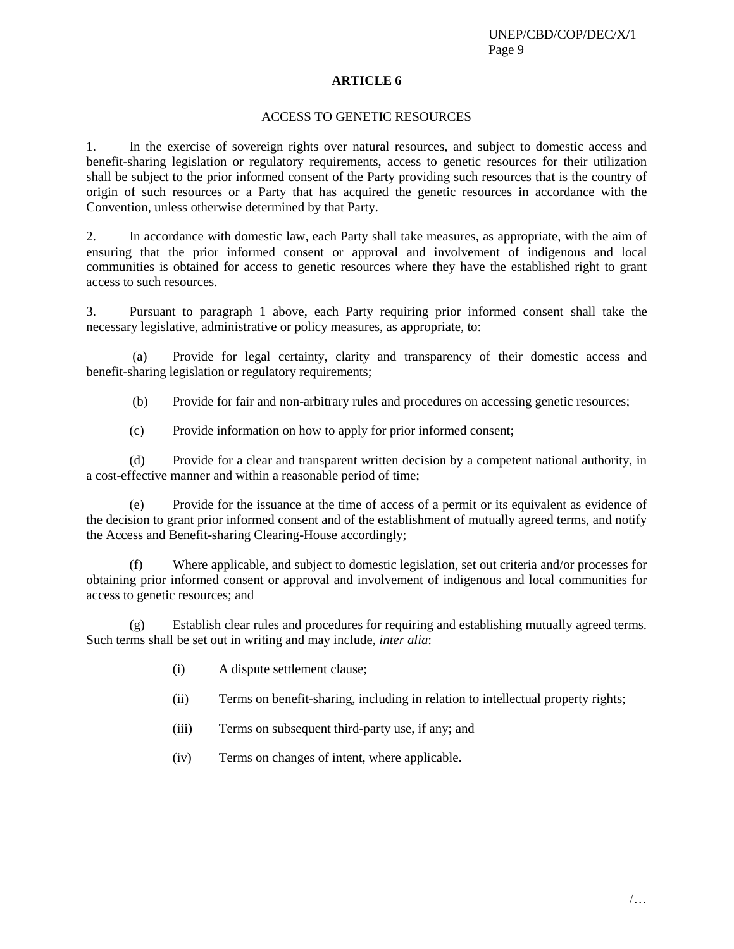# **ARTICLE 6**

# ACCESS TO GENETIC RESOURCES

1. In the exercise of sovereign rights over natural resources, and subject to domestic access and benefit-sharing legislation or regulatory requirements, access to genetic resources for their utilization shall be subject to the prior informed consent of the Party providing such resources that is the country of origin of such resources or a Party that has acquired the genetic resources in accordance with the Convention, unless otherwise determined by that Party.

2. In accordance with domestic law, each Party shall take measures, as appropriate, with the aim of ensuring that the prior informed consent or approval and involvement of indigenous and local communities is obtained for access to genetic resources where they have the established right to grant access to such resources.

3. Pursuant to paragraph 1 above, each Party requiring prior informed consent shall take the necessary legislative, administrative or policy measures, as appropriate, to:

(a) Provide for legal certainty, clarity and transparency of their domestic access and benefit-sharing legislation or regulatory requirements;

(b) Provide for fair and non-arbitrary rules and procedures on accessing genetic resources;

(c) Provide information on how to apply for prior informed consent;

(d) Provide for a clear and transparent written decision by a competent national authority, in a cost-effective manner and within a reasonable period of time;

(e) Provide for the issuance at the time of access of a permit or its equivalent as evidence of the decision to grant prior informed consent and of the establishment of mutually agreed terms, and notify the Access and Benefit-sharing Clearing-House accordingly;

(f) Where applicable, and subject to domestic legislation, set out criteria and/or processes for obtaining prior informed consent or approval and involvement of indigenous and local communities for access to genetic resources; and

(g) Establish clear rules and procedures for requiring and establishing mutually agreed terms. Such terms shall be set out in writing and may include, *inter alia*:

- (i) A dispute settlement clause;
- (ii) Terms on benefit-sharing, including in relation to intellectual property rights;
- (iii) Terms on subsequent third-party use, if any; and
- (iv) Terms on changes of intent, where applicable.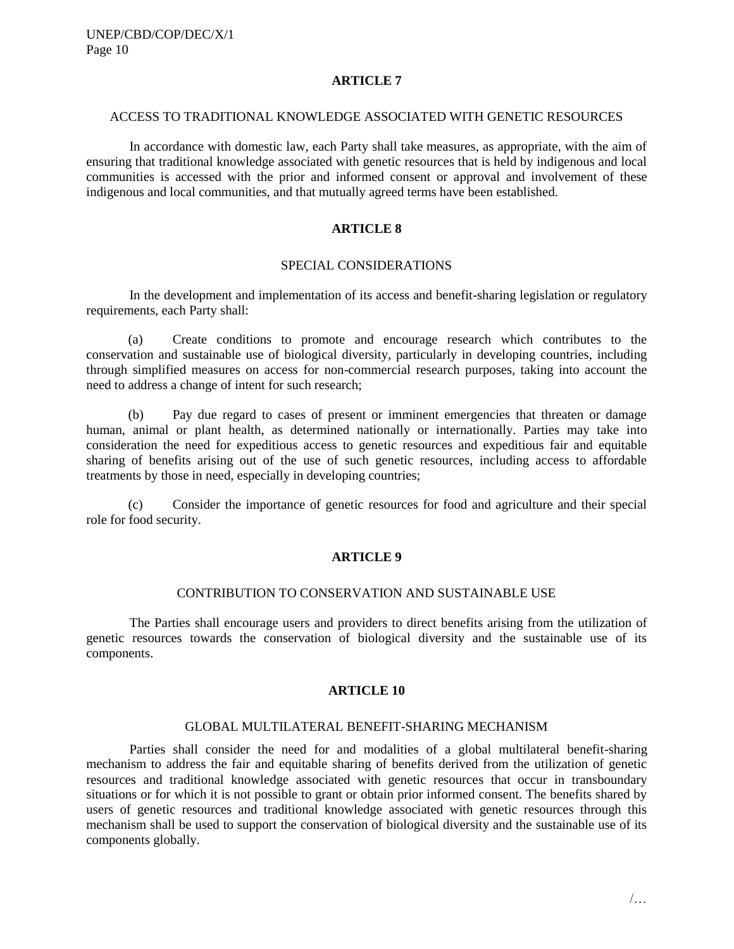### **ARTICLE 7**

#### ACCESS TO TRADITIONAL KNOWLEDGE ASSOCIATED WITH GENETIC RESOURCES

In accordance with domestic law, each Party shall take measures, as appropriate, with the aim of ensuring that traditional knowledge associated with genetic resources that is held by indigenous and local communities is accessed with the prior and informed consent or approval and involvement of these indigenous and local communities, and that mutually agreed terms have been established.

### **ARTICLE 8**

### SPECIAL CONSIDERATIONS

In the development and implementation of its access and benefit-sharing legislation or regulatory requirements, each Party shall:

(a) Create conditions to promote and encourage research which contributes to the conservation and sustainable use of biological diversity, particularly in developing countries, including through simplified measures on access for non-commercial research purposes, taking into account the need to address a change of intent for such research;

(b) Pay due regard to cases of present or imminent emergencies that threaten or damage human, animal or plant health, as determined nationally or internationally. Parties may take into consideration the need for expeditious access to genetic resources and expeditious fair and equitable sharing of benefits arising out of the use of such genetic resources, including access to affordable treatments by those in need, especially in developing countries;

(c) Consider the importance of genetic resources for food and agriculture and their special role for food security.

### **ARTICLE 9**

# CONTRIBUTION TO CONSERVATION AND SUSTAINABLE USE

The Parties shall encourage users and providers to direct benefits arising from the utilization of genetic resources towards the conservation of biological diversity and the sustainable use of its components.

#### **ARTICLE 10**

### GLOBAL MULTILATERAL BENEFIT-SHARING MECHANISM

Parties shall consider the need for and modalities of a global multilateral benefit-sharing mechanism to address the fair and equitable sharing of benefits derived from the utilization of genetic resources and traditional knowledge associated with genetic resources that occur in transboundary situations or for which it is not possible to grant or obtain prior informed consent. The benefits shared by users of genetic resources and traditional knowledge associated with genetic resources through this mechanism shall be used to support the conservation of biological diversity and the sustainable use of its components globally.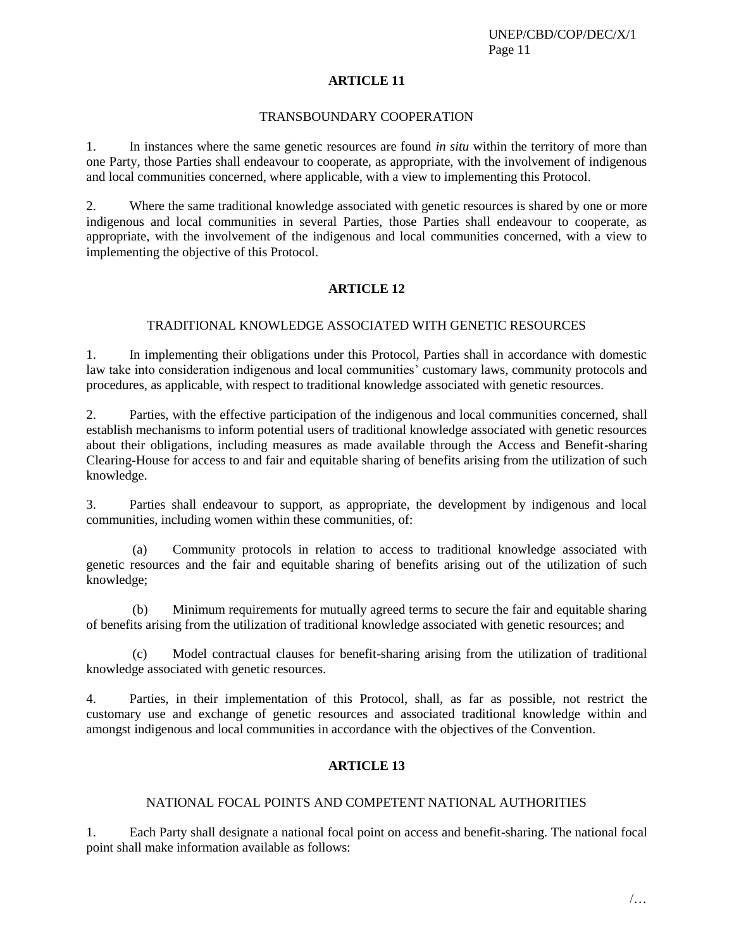### **ARTICLE 11**

#### TRANSBOUNDARY COOPERATION

1. In instances where the same genetic resources are found *in situ* within the territory of more than one Party, those Parties shall endeavour to cooperate, as appropriate, with the involvement of indigenous and local communities concerned, where applicable, with a view to implementing this Protocol.

2. Where the same traditional knowledge associated with genetic resources is shared by one or more indigenous and local communities in several Parties, those Parties shall endeavour to cooperate, as appropriate, with the involvement of the indigenous and local communities concerned, with a view to implementing the objective of this Protocol.

#### **ARTICLE 12**

### TRADITIONAL KNOWLEDGE ASSOCIATED WITH GENETIC RESOURCES

1. In implementing their obligations under this Protocol, Parties shall in accordance with domestic law take into consideration indigenous and local communities' customary laws, community protocols and procedures, as applicable, with respect to traditional knowledge associated with genetic resources.

2. Parties, with the effective participation of the indigenous and local communities concerned, shall establish mechanisms to inform potential users of traditional knowledge associated with genetic resources about their obligations, including measures as made available through the Access and Benefit-sharing Clearing-House for access to and fair and equitable sharing of benefits arising from the utilization of such knowledge.

3. Parties shall endeavour to support, as appropriate, the development by indigenous and local communities, including women within these communities, of:

(a) Community protocols in relation to access to traditional knowledge associated with genetic resources and the fair and equitable sharing of benefits arising out of the utilization of such knowledge;

(b) Minimum requirements for mutually agreed terms to secure the fair and equitable sharing of benefits arising from the utilization of traditional knowledge associated with genetic resources; and

Model contractual clauses for benefit-sharing arising from the utilization of traditional knowledge associated with genetic resources.

4. Parties, in their implementation of this Protocol, shall, as far as possible, not restrict the customary use and exchange of genetic resources and associated traditional knowledge within and amongst indigenous and local communities in accordance with the objectives of the Convention.

# **ARTICLE 13**

### NATIONAL FOCAL POINTS AND COMPETENT NATIONAL AUTHORITIES

1. Each Party shall designate a national focal point on access and benefit-sharing. The national focal point shall make information available as follows: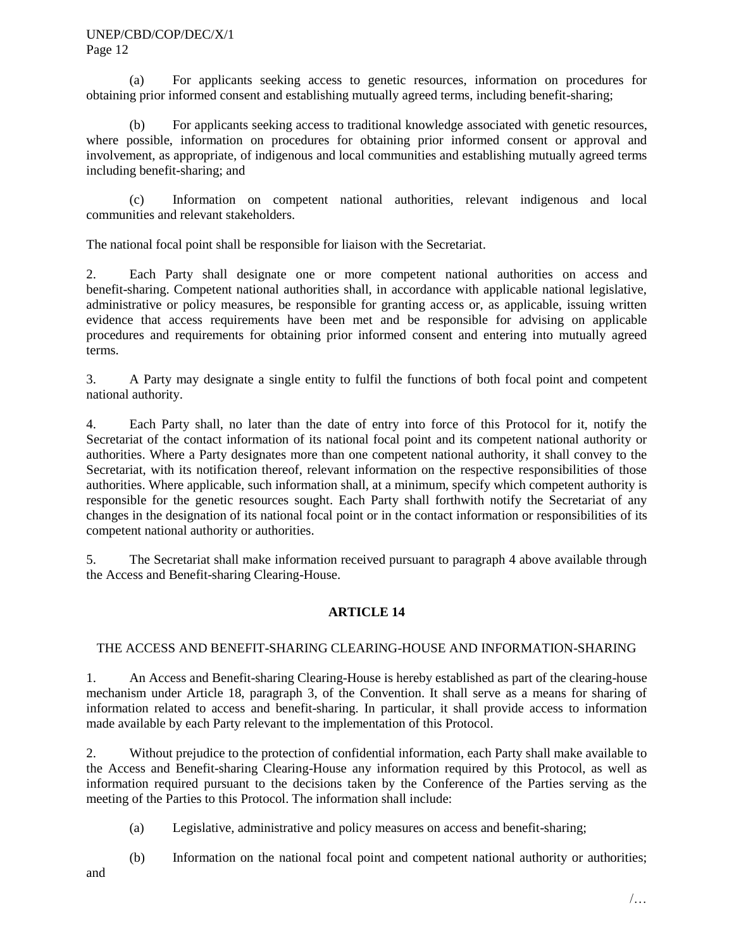(a) For applicants seeking access to genetic resources, information on procedures for obtaining prior informed consent and establishing mutually agreed terms, including benefit-sharing;

(b) For applicants seeking access to traditional knowledge associated with genetic resources, where possible, information on procedures for obtaining prior informed consent or approval and involvement, as appropriate, of indigenous and local communities and establishing mutually agreed terms including benefit-sharing; and

(c) Information on competent national authorities, relevant indigenous and local communities and relevant stakeholders.

The national focal point shall be responsible for liaison with the Secretariat.

2. Each Party shall designate one or more competent national authorities on access and benefit-sharing. Competent national authorities shall, in accordance with applicable national legislative, administrative or policy measures, be responsible for granting access or, as applicable, issuing written evidence that access requirements have been met and be responsible for advising on applicable procedures and requirements for obtaining prior informed consent and entering into mutually agreed terms.

3. A Party may designate a single entity to fulfil the functions of both focal point and competent national authority.

4. Each Party shall, no later than the date of entry into force of this Protocol for it, notify the Secretariat of the contact information of its national focal point and its competent national authority or authorities. Where a Party designates more than one competent national authority, it shall convey to the Secretariat, with its notification thereof, relevant information on the respective responsibilities of those authorities. Where applicable, such information shall, at a minimum, specify which competent authority is responsible for the genetic resources sought. Each Party shall forthwith notify the Secretariat of any changes in the designation of its national focal point or in the contact information or responsibilities of its competent national authority or authorities.

5. The Secretariat shall make information received pursuant to paragraph 4 above available through the Access and Benefit-sharing Clearing-House.

# **ARTICLE 14**

# THE ACCESS AND BENEFIT-SHARING CLEARING-HOUSE AND INFORMATION-SHARING

1. An Access and Benefit-sharing Clearing-House is hereby established as part of the clearing-house mechanism under Article 18, paragraph 3, of the Convention. It shall serve as a means for sharing of information related to access and benefit-sharing. In particular, it shall provide access to information made available by each Party relevant to the implementation of this Protocol.

2. Without prejudice to the protection of confidential information, each Party shall make available to the Access and Benefit-sharing Clearing-House any information required by this Protocol, as well as information required pursuant to the decisions taken by the Conference of the Parties serving as the meeting of the Parties to this Protocol. The information shall include:

(a) Legislative, administrative and policy measures on access and benefit-sharing;

(b) Information on the national focal point and competent national authority or authorities;

and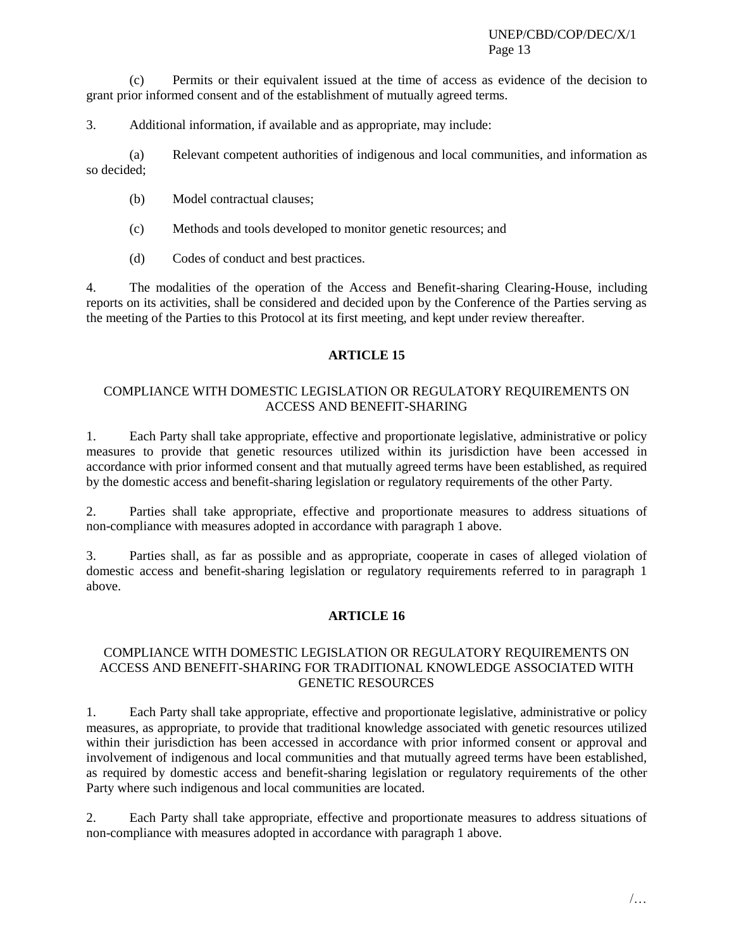(c) Permits or their equivalent issued at the time of access as evidence of the decision to grant prior informed consent and of the establishment of mutually agreed terms.

3. Additional information, if available and as appropriate, may include:

(a) Relevant competent authorities of indigenous and local communities, and information as so decided;

- (b) Model contractual clauses;
- (c) Methods and tools developed to monitor genetic resources; and
- (d) Codes of conduct and best practices.

4. The modalities of the operation of the Access and Benefit-sharing Clearing-House, including reports on its activities, shall be considered and decided upon by the Conference of the Parties serving as the meeting of the Parties to this Protocol at its first meeting, and kept under review thereafter.

# **ARTICLE 15**

# COMPLIANCE WITH DOMESTIC LEGISLATION OR REGULATORY REQUIREMENTS ON ACCESS AND BENEFIT-SHARING

1. Each Party shall take appropriate, effective and proportionate legislative, administrative or policy measures to provide that genetic resources utilized within its jurisdiction have been accessed in accordance with prior informed consent and that mutually agreed terms have been established, as required by the domestic access and benefit-sharing legislation or regulatory requirements of the other Party.

2. Parties shall take appropriate, effective and proportionate measures to address situations of non-compliance with measures adopted in accordance with paragraph 1 above.

3. Parties shall, as far as possible and as appropriate, cooperate in cases of alleged violation of domestic access and benefit-sharing legislation or regulatory requirements referred to in paragraph 1 above.

# **ARTICLE 16**

### COMPLIANCE WITH DOMESTIC LEGISLATION OR REGULATORY REQUIREMENTS ON ACCESS AND BENEFIT-SHARING FOR TRADITIONAL KNOWLEDGE ASSOCIATED WITH GENETIC RESOURCES

1. Each Party shall take appropriate, effective and proportionate legislative, administrative or policy measures, as appropriate, to provide that traditional knowledge associated with genetic resources utilized within their jurisdiction has been accessed in accordance with prior informed consent or approval and involvement of indigenous and local communities and that mutually agreed terms have been established, as required by domestic access and benefit-sharing legislation or regulatory requirements of the other Party where such indigenous and local communities are located.

2. Each Party shall take appropriate, effective and proportionate measures to address situations of non-compliance with measures adopted in accordance with paragraph 1 above.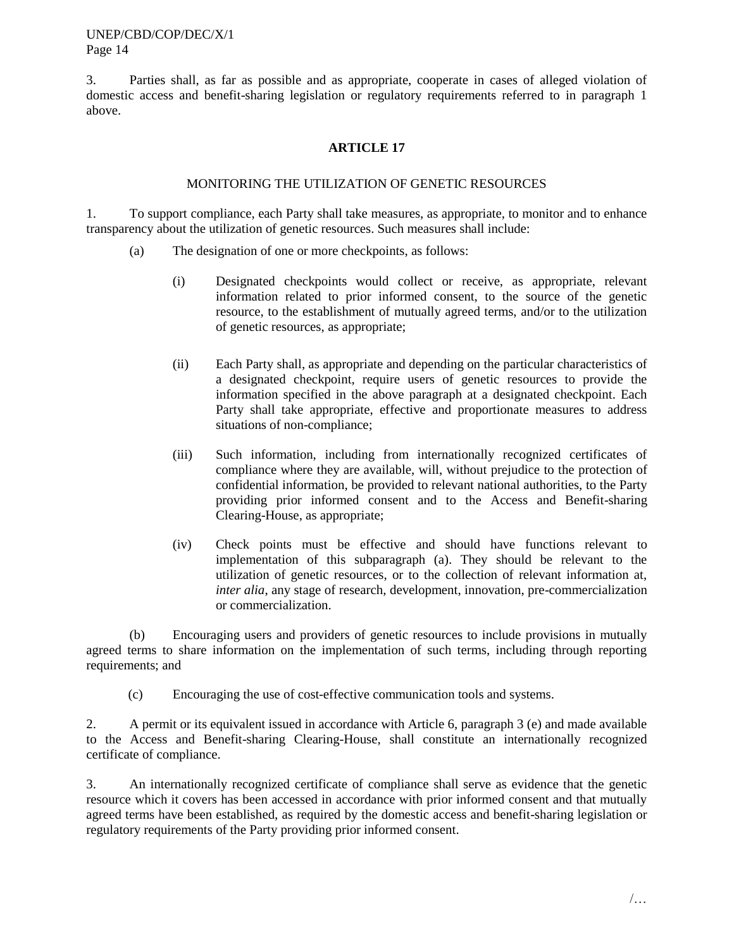3. Parties shall, as far as possible and as appropriate, cooperate in cases of alleged violation of domestic access and benefit-sharing legislation or regulatory requirements referred to in paragraph 1 above.

# **ARTICLE 17**

### MONITORING THE UTILIZATION OF GENETIC RESOURCES

1. To support compliance, each Party shall take measures, as appropriate, to monitor and to enhance transparency about the utilization of genetic resources. Such measures shall include:

- (a) The designation of one or more checkpoints, as follows:
	- (i) Designated checkpoints would collect or receive, as appropriate, relevant information related to prior informed consent, to the source of the genetic resource, to the establishment of mutually agreed terms, and/or to the utilization of genetic resources, as appropriate;
	- (ii) Each Party shall, as appropriate and depending on the particular characteristics of a designated checkpoint, require users of genetic resources to provide the information specified in the above paragraph at a designated checkpoint. Each Party shall take appropriate, effective and proportionate measures to address situations of non-compliance;
	- (iii) Such information, including from internationally recognized certificates of compliance where they are available, will, without prejudice to the protection of confidential information, be provided to relevant national authorities, to the Party providing prior informed consent and to the Access and Benefit-sharing Clearing-House, as appropriate;
	- (iv) Check points must be effective and should have functions relevant to implementation of this subparagraph (a). They should be relevant to the utilization of genetic resources, or to the collection of relevant information at, *inter alia*, any stage of research, development, innovation, pre-commercialization or commercialization.

(b) Encouraging users and providers of genetic resources to include provisions in mutually agreed terms to share information on the implementation of such terms, including through reporting requirements; and

(c) Encouraging the use of cost-effective communication tools and systems.

2. A permit or its equivalent issued in accordance with Article 6, paragraph 3 (e) and made available to the Access and Benefit-sharing Clearing-House, shall constitute an internationally recognized certificate of compliance.

3. An internationally recognized certificate of compliance shall serve as evidence that the genetic resource which it covers has been accessed in accordance with prior informed consent and that mutually agreed terms have been established, as required by the domestic access and benefit-sharing legislation or regulatory requirements of the Party providing prior informed consent.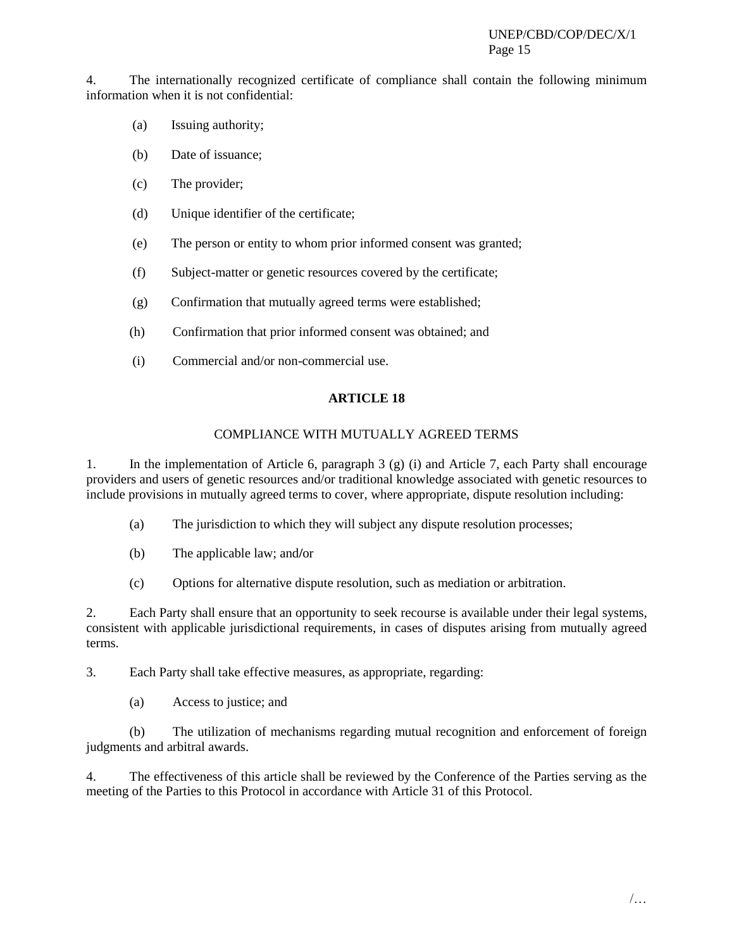4. The internationally recognized certificate of compliance shall contain the following minimum information when it is not confidential:

- (a) Issuing authority;
- (b) Date of issuance;
- (c) The provider;
- (d) Unique identifier of the certificate;
- (e) The person or entity to whom prior informed consent was granted;
- (f) Subject-matter or genetic resources covered by the certificate;
- (g) Confirmation that mutually agreed terms were established;
- (h) Confirmation that prior informed consent was obtained; and
- (i) Commercial and/or non-commercial use.

# **ARTICLE 18**

# COMPLIANCE WITH MUTUALLY AGREED TERMS

1. In the implementation of Article 6, paragraph 3 (g) (i) and Article 7, each Party shall encourage providers and users of genetic resources and/or traditional knowledge associated with genetic resources to include provisions in mutually agreed terms to cover, where appropriate, dispute resolution including:

- (a) The jurisdiction to which they will subject any dispute resolution processes;
- (b) The applicable law; and**/**or
- (c) Options for alternative dispute resolution, such as mediation or arbitration.

2. Each Party shall ensure that an opportunity to seek recourse is available under their legal systems, consistent with applicable jurisdictional requirements, in cases of disputes arising from mutually agreed terms.

3. Each Party shall take effective measures, as appropriate, regarding:

(a) Access to justice; and

(b) The utilization of mechanisms regarding mutual recognition and enforcement of foreign judgments and arbitral awards.

4. The effectiveness of this article shall be reviewed by the Conference of the Parties serving as the meeting of the Parties to this Protocol in accordance with Article 31 of this Protocol.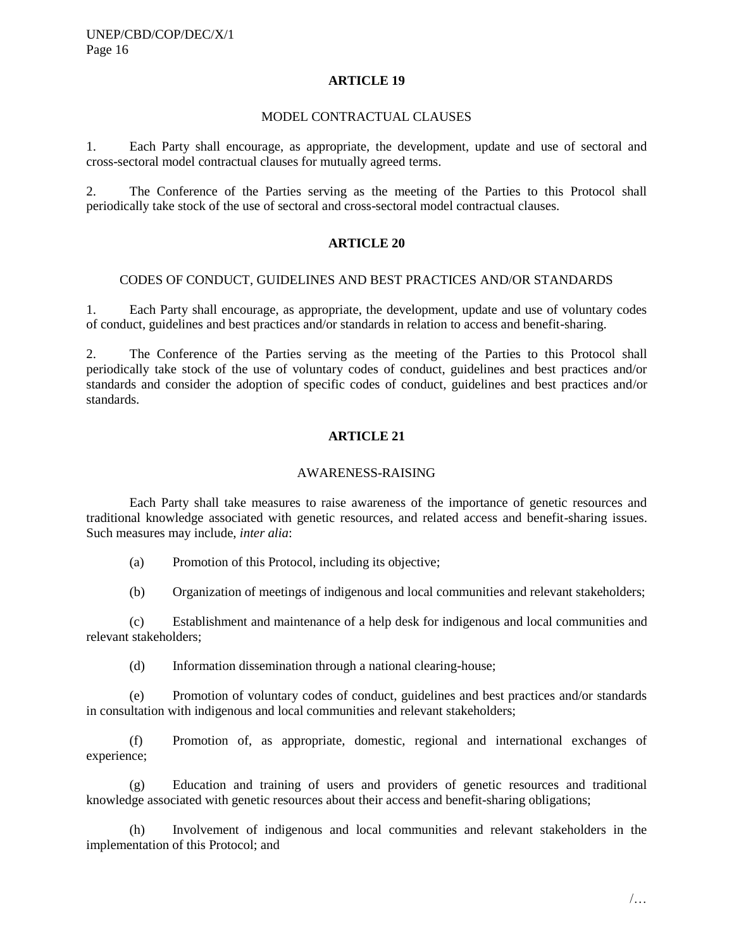### **ARTICLE 19**

### MODEL CONTRACTUAL CLAUSES

1. Each Party shall encourage, as appropriate, the development, update and use of sectoral and cross-sectoral model contractual clauses for mutually agreed terms.

2. The Conference of the Parties serving as the meeting of the Parties to this Protocol shall periodically take stock of the use of sectoral and cross-sectoral model contractual clauses.

# **ARTICLE 20**

### CODES OF CONDUCT, GUIDELINES AND BEST PRACTICES AND/OR STANDARDS

1. Each Party shall encourage, as appropriate, the development, update and use of voluntary codes of conduct, guidelines and best practices and/or standards in relation to access and benefit-sharing.

2. The Conference of the Parties serving as the meeting of the Parties to this Protocol shall periodically take stock of the use of voluntary codes of conduct, guidelines and best practices and/or standards and consider the adoption of specific codes of conduct, guidelines and best practices and/or standards.

### **ARTICLE 21**

### AWARENESS-RAISING

Each Party shall take measures to raise awareness of the importance of genetic resources and traditional knowledge associated with genetic resources, and related access and benefit-sharing issues. Such measures may include, *inter alia*:

(a) Promotion of this Protocol, including its objective;

(b) Organization of meetings of indigenous and local communities and relevant stakeholders;

(c) Establishment and maintenance of a help desk for indigenous and local communities and relevant stakeholders;

(d) Information dissemination through a national clearing-house;

(e) Promotion of voluntary codes of conduct, guidelines and best practices and/or standards in consultation with indigenous and local communities and relevant stakeholders;

(f) Promotion of, as appropriate, domestic, regional and international exchanges of experience;

(g) Education and training of users and providers of genetic resources and traditional knowledge associated with genetic resources about their access and benefit-sharing obligations;

(h) Involvement of indigenous and local communities and relevant stakeholders in the implementation of this Protocol; and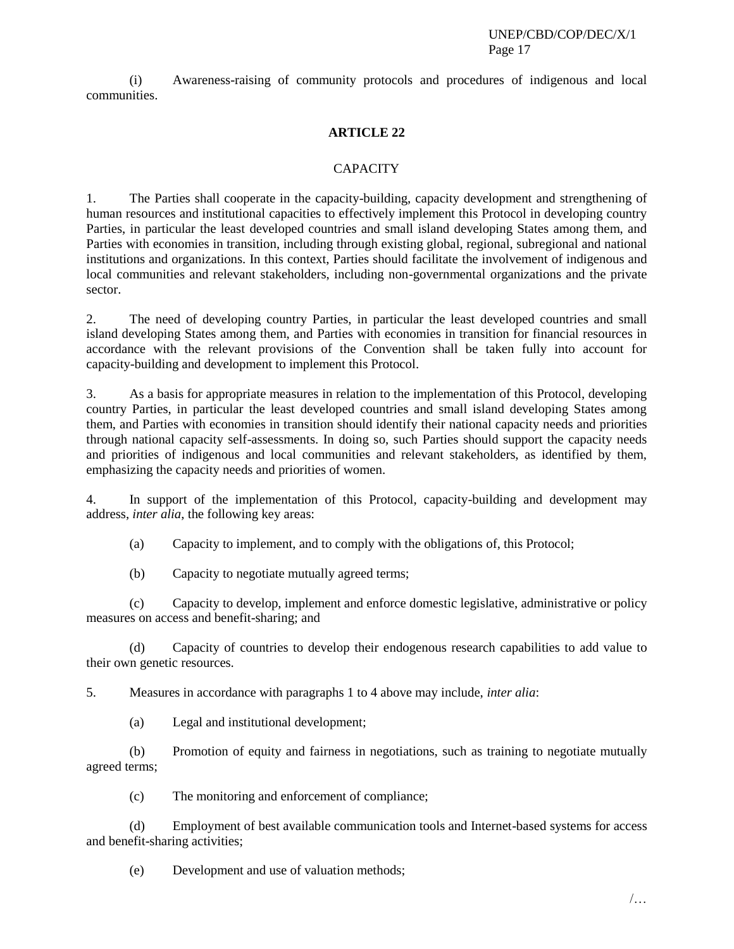(i) Awareness-raising of community protocols and procedures of indigenous and local communities.

# **ARTICLE 22**

# **CAPACITY**

1. The Parties shall cooperate in the capacity-building, capacity development and strengthening of human resources and institutional capacities to effectively implement this Protocol in developing country Parties, in particular the least developed countries and small island developing States among them, and Parties with economies in transition, including through existing global, regional, subregional and national institutions and organizations. In this context, Parties should facilitate the involvement of indigenous and local communities and relevant stakeholders, including non-governmental organizations and the private sector.

2. The need of developing country Parties, in particular the least developed countries and small island developing States among them, and Parties with economies in transition for financial resources in accordance with the relevant provisions of the Convention shall be taken fully into account for capacity-building and development to implement this Protocol.

3. As a basis for appropriate measures in relation to the implementation of this Protocol, developing country Parties, in particular the least developed countries and small island developing States among them, and Parties with economies in transition should identify their national capacity needs and priorities through national capacity self-assessments. In doing so, such Parties should support the capacity needs and priorities of indigenous and local communities and relevant stakeholders, as identified by them, emphasizing the capacity needs and priorities of women.

4. In support of the implementation of this Protocol, capacity-building and development may address, *inter alia*, the following key areas:

(a) Capacity to implement, and to comply with the obligations of, this Protocol;

(b) Capacity to negotiate mutually agreed terms;

(c) Capacity to develop, implement and enforce domestic legislative, administrative or policy measures on access and benefit-sharing; and

(d) Capacity of countries to develop their endogenous research capabilities to add value to their own genetic resources.

5. Measures in accordance with paragraphs 1 to 4 above may include, *inter alia*:

(a) Legal and institutional development;

(b) Promotion of equity and fairness in negotiations, such as training to negotiate mutually agreed terms;

(c) The monitoring and enforcement of compliance;

(d) Employment of best available communication tools and Internet-based systems for access and benefit-sharing activities;

(e) Development and use of valuation methods;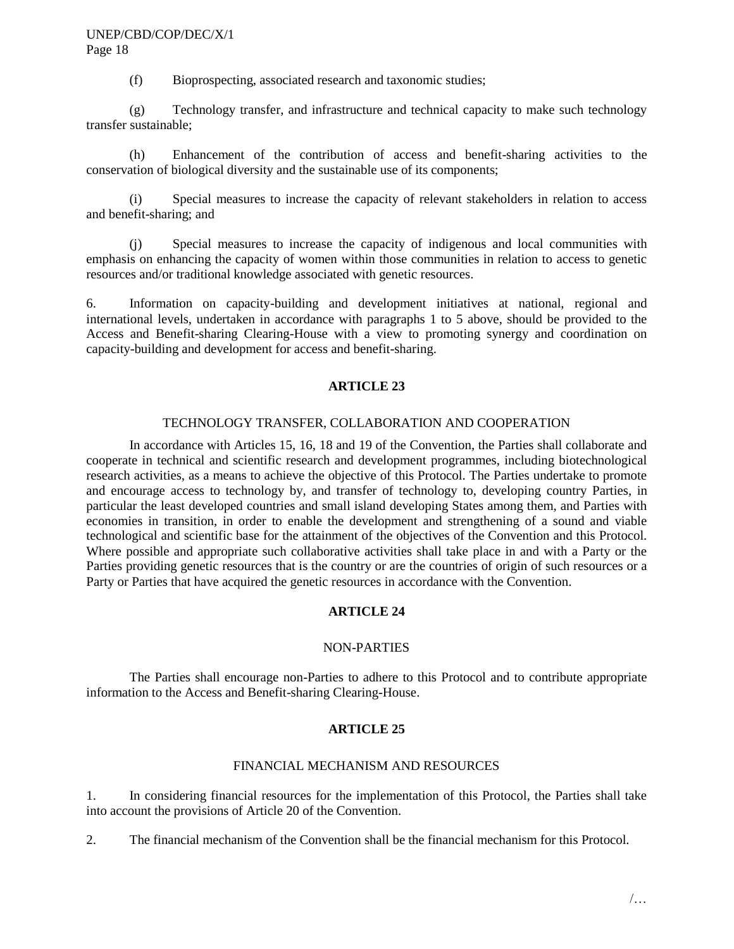(f) Bioprospecting, associated research and taxonomic studies;

(g) Technology transfer, and infrastructure and technical capacity to make such technology transfer sustainable;

(h) Enhancement of the contribution of access and benefit-sharing activities to the conservation of biological diversity and the sustainable use of its components;

(i) Special measures to increase the capacity of relevant stakeholders in relation to access and benefit-sharing; and

(j) Special measures to increase the capacity of indigenous and local communities with emphasis on enhancing the capacity of women within those communities in relation to access to genetic resources and/or traditional knowledge associated with genetic resources.

6. Information on capacity-building and development initiatives at national, regional and international levels, undertaken in accordance with paragraphs 1 to 5 above, should be provided to the Access and Benefit-sharing Clearing-House with a view to promoting synergy and coordination on capacity-building and development for access and benefit-sharing.

# **ARTICLE 23**

### TECHNOLOGY TRANSFER, COLLABORATION AND COOPERATION

In accordance with Articles 15, 16, 18 and 19 of the Convention, the Parties shall collaborate and cooperate in technical and scientific research and development programmes, including biotechnological research activities, as a means to achieve the objective of this Protocol. The Parties undertake to promote and encourage access to technology by, and transfer of technology to, developing country Parties, in particular the least developed countries and small island developing States among them, and Parties with economies in transition, in order to enable the development and strengthening of a sound and viable technological and scientific base for the attainment of the objectives of the Convention and this Protocol. Where possible and appropriate such collaborative activities shall take place in and with a Party or the Parties providing genetic resources that is the country or are the countries of origin of such resources or a Party or Parties that have acquired the genetic resources in accordance with the Convention.

### **ARTICLE 24**

#### NON-PARTIES

The Parties shall encourage non-Parties to adhere to this Protocol and to contribute appropriate information to the Access and Benefit-sharing Clearing-House.

### **ARTICLE 25**

### FINANCIAL MECHANISM AND RESOURCES

1. In considering financial resources for the implementation of this Protocol, the Parties shall take into account the provisions of Article 20 of the Convention.

2. The financial mechanism of the Convention shall be the financial mechanism for this Protocol.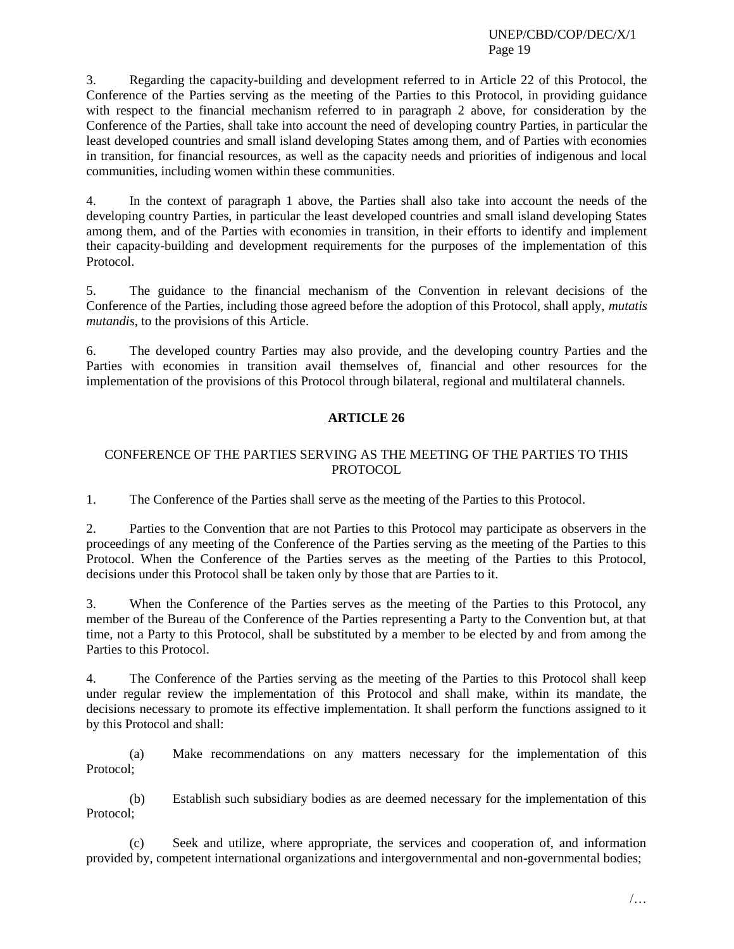3. Regarding the capacity-building and development referred to in Article 22 of this Protocol, the Conference of the Parties serving as the meeting of the Parties to this Protocol, in providing guidance with respect to the financial mechanism referred to in paragraph 2 above, for consideration by the Conference of the Parties, shall take into account the need of developing country Parties, in particular the least developed countries and small island developing States among them, and of Parties with economies in transition, for financial resources, as well as the capacity needs and priorities of indigenous and local communities, including women within these communities.

4. In the context of paragraph 1 above, the Parties shall also take into account the needs of the developing country Parties, in particular the least developed countries and small island developing States among them, and of the Parties with economies in transition, in their efforts to identify and implement their capacity-building and development requirements for the purposes of the implementation of this Protocol.

5. The guidance to the financial mechanism of the Convention in relevant decisions of the Conference of the Parties, including those agreed before the adoption of this Protocol, shall apply, *mutatis mutandis*, to the provisions of this Article.

6. The developed country Parties may also provide, and the developing country Parties and the Parties with economies in transition avail themselves of, financial and other resources for the implementation of the provisions of this Protocol through bilateral, regional and multilateral channels.

# **ARTICLE 26**

# CONFERENCE OF THE PARTIES SERVING AS THE MEETING OF THE PARTIES TO THIS PROTOCOL

1. The Conference of the Parties shall serve as the meeting of the Parties to this Protocol.

2. Parties to the Convention that are not Parties to this Protocol may participate as observers in the proceedings of any meeting of the Conference of the Parties serving as the meeting of the Parties to this Protocol. When the Conference of the Parties serves as the meeting of the Parties to this Protocol, decisions under this Protocol shall be taken only by those that are Parties to it.

3. When the Conference of the Parties serves as the meeting of the Parties to this Protocol, any member of the Bureau of the Conference of the Parties representing a Party to the Convention but, at that time, not a Party to this Protocol, shall be substituted by a member to be elected by and from among the Parties to this Protocol.

4. The Conference of the Parties serving as the meeting of the Parties to this Protocol shall keep under regular review the implementation of this Protocol and shall make, within its mandate, the decisions necessary to promote its effective implementation. It shall perform the functions assigned to it by this Protocol and shall:

(a) Make recommendations on any matters necessary for the implementation of this Protocol;

(b) Establish such subsidiary bodies as are deemed necessary for the implementation of this Protocol;

(c) Seek and utilize, where appropriate, the services and cooperation of, and information provided by, competent international organizations and intergovernmental and non-governmental bodies;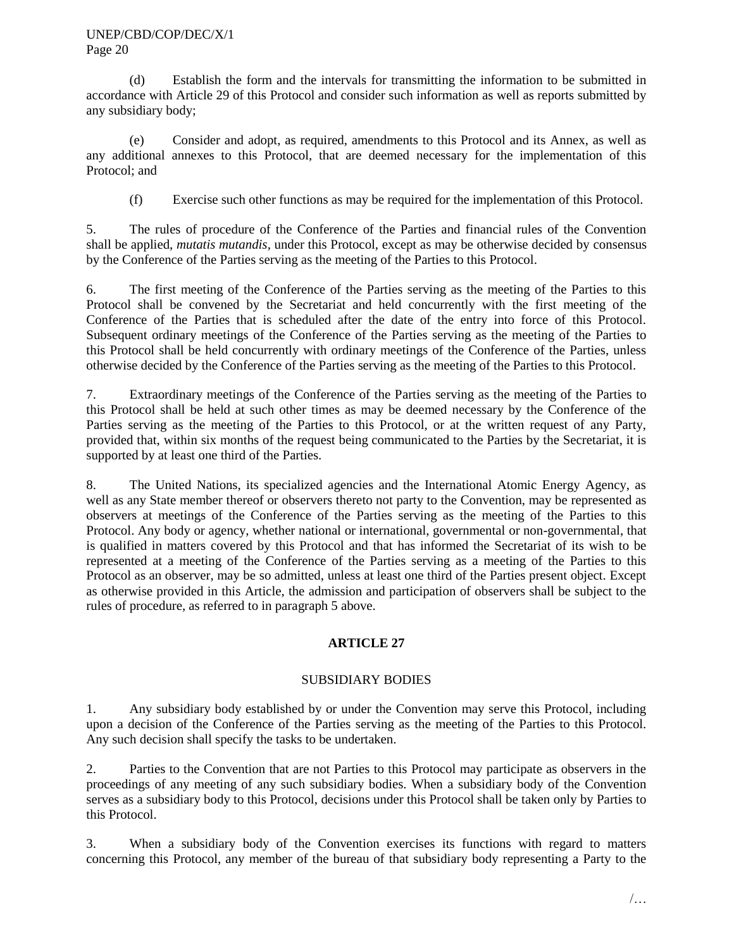(d) Establish the form and the intervals for transmitting the information to be submitted in accordance with Article 29 of this Protocol and consider such information as well as reports submitted by any subsidiary body;

(e) Consider and adopt, as required, amendments to this Protocol and its Annex, as well as any additional annexes to this Protocol, that are deemed necessary for the implementation of this Protocol; and

(f) Exercise such other functions as may be required for the implementation of this Protocol.

5. The rules of procedure of the Conference of the Parties and financial rules of the Convention shall be applied, *mutatis mutandis*, under this Protocol, except as may be otherwise decided by consensus by the Conference of the Parties serving as the meeting of the Parties to this Protocol.

6. The first meeting of the Conference of the Parties serving as the meeting of the Parties to this Protocol shall be convened by the Secretariat and held concurrently with the first meeting of the Conference of the Parties that is scheduled after the date of the entry into force of this Protocol. Subsequent ordinary meetings of the Conference of the Parties serving as the meeting of the Parties to this Protocol shall be held concurrently with ordinary meetings of the Conference of the Parties, unless otherwise decided by the Conference of the Parties serving as the meeting of the Parties to this Protocol.

7. Extraordinary meetings of the Conference of the Parties serving as the meeting of the Parties to this Protocol shall be held at such other times as may be deemed necessary by the Conference of the Parties serving as the meeting of the Parties to this Protocol, or at the written request of any Party, provided that, within six months of the request being communicated to the Parties by the Secretariat, it is supported by at least one third of the Parties.

8. The United Nations, its specialized agencies and the International Atomic Energy Agency, as well as any State member thereof or observers thereto not party to the Convention, may be represented as observers at meetings of the Conference of the Parties serving as the meeting of the Parties to this Protocol. Any body or agency, whether national or international, governmental or non-governmental, that is qualified in matters covered by this Protocol and that has informed the Secretariat of its wish to be represented at a meeting of the Conference of the Parties serving as a meeting of the Parties to this Protocol as an observer, may be so admitted, unless at least one third of the Parties present object. Except as otherwise provided in this Article, the admission and participation of observers shall be subject to the rules of procedure, as referred to in paragraph 5 above.

# **ARTICLE 27**

### SUBSIDIARY BODIES

1. Any subsidiary body established by or under the Convention may serve this Protocol, including upon a decision of the Conference of the Parties serving as the meeting of the Parties to this Protocol. Any such decision shall specify the tasks to be undertaken.

2. Parties to the Convention that are not Parties to this Protocol may participate as observers in the proceedings of any meeting of any such subsidiary bodies. When a subsidiary body of the Convention serves as a subsidiary body to this Protocol, decisions under this Protocol shall be taken only by Parties to this Protocol.

3. When a subsidiary body of the Convention exercises its functions with regard to matters concerning this Protocol, any member of the bureau of that subsidiary body representing a Party to the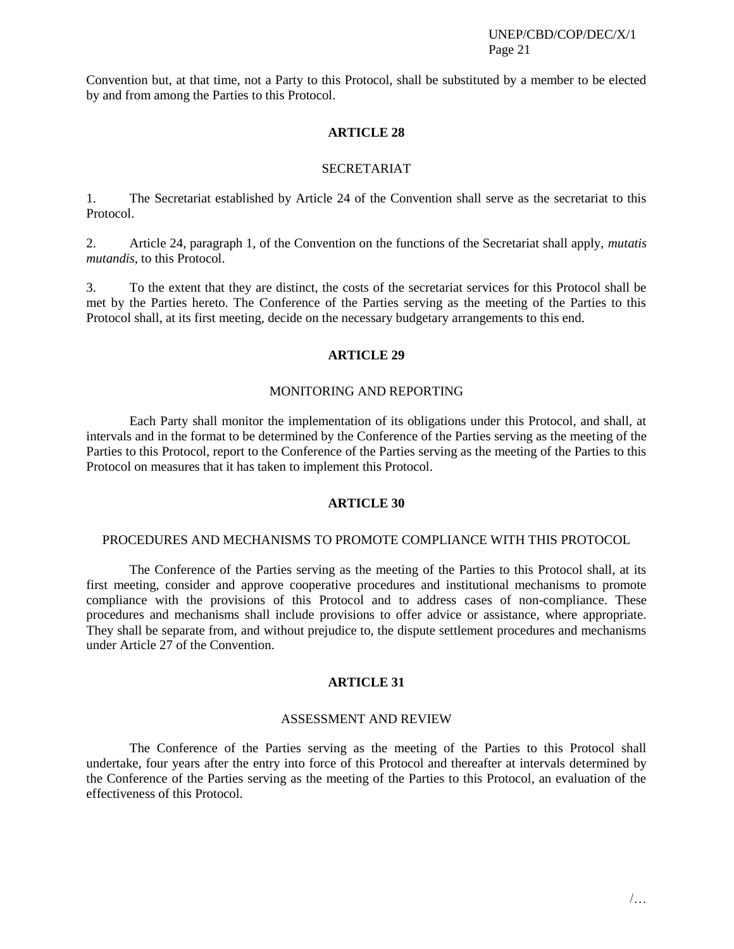Convention but, at that time, not a Party to this Protocol, shall be substituted by a member to be elected by and from among the Parties to this Protocol.

### **ARTICLE 28**

#### SECRETARIAT

1. The Secretariat established by Article 24 of the Convention shall serve as the secretariat to this Protocol.

2. Article 24, paragraph 1, of the Convention on the functions of the Secretariat shall apply, *mutatis mutandis*, to this Protocol.

3. To the extent that they are distinct, the costs of the secretariat services for this Protocol shall be met by the Parties hereto. The Conference of the Parties serving as the meeting of the Parties to this Protocol shall, at its first meeting, decide on the necessary budgetary arrangements to this end.

### **ARTICLE 29**

### MONITORING AND REPORTING

Each Party shall monitor the implementation of its obligations under this Protocol, and shall, at intervals and in the format to be determined by the Conference of the Parties serving as the meeting of the Parties to this Protocol, report to the Conference of the Parties serving as the meeting of the Parties to this Protocol on measures that it has taken to implement this Protocol.

#### **ARTICLE 30**

### PROCEDURES AND MECHANISMS TO PROMOTE COMPLIANCE WITH THIS PROTOCOL

The Conference of the Parties serving as the meeting of the Parties to this Protocol shall, at its first meeting, consider and approve cooperative procedures and institutional mechanisms to promote compliance with the provisions of this Protocol and to address cases of non-compliance. These procedures and mechanisms shall include provisions to offer advice or assistance, where appropriate. They shall be separate from, and without prejudice to, the dispute settlement procedures and mechanisms under Article 27 of the Convention.

### **ARTICLE 31**

#### ASSESSMENT AND REVIEW

The Conference of the Parties serving as the meeting of the Parties to this Protocol shall undertake, four years after the entry into force of this Protocol and thereafter at intervals determined by the Conference of the Parties serving as the meeting of the Parties to this Protocol, an evaluation of the effectiveness of this Protocol.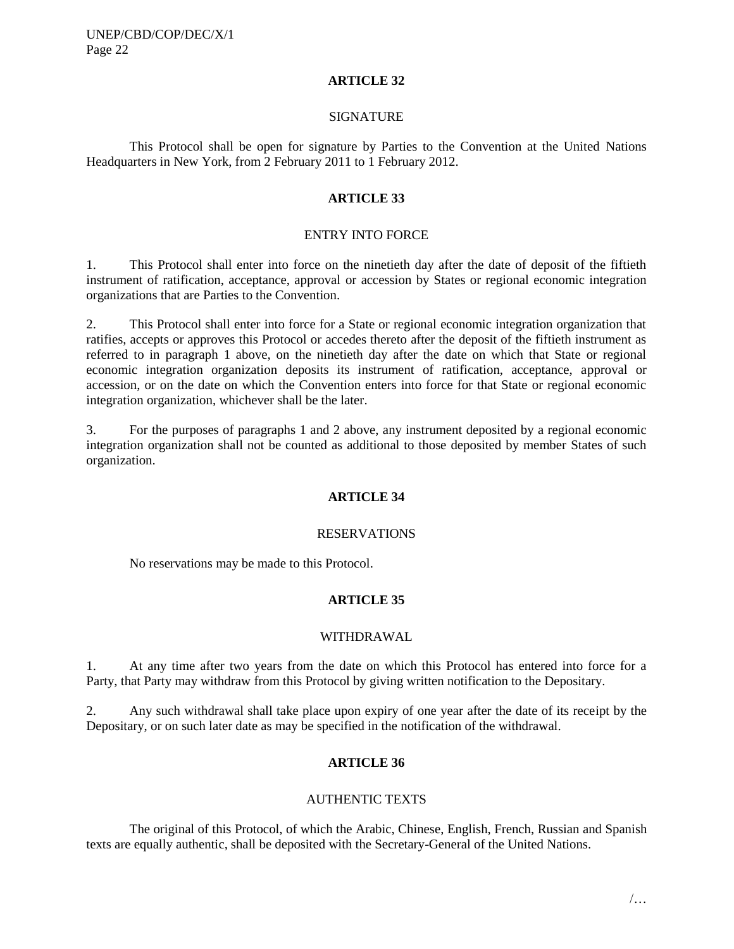### **ARTICLE 32**

#### SIGNATURE

This Protocol shall be open for signature by Parties to the Convention at the United Nations Headquarters in New York, from 2 February 2011 to 1 February 2012.

### **ARTICLE 33**

### ENTRY INTO FORCE

1. This Protocol shall enter into force on the ninetieth day after the date of deposit of the fiftieth instrument of ratification, acceptance, approval or accession by States or regional economic integration organizations that are Parties to the Convention.

2. This Protocol shall enter into force for a State or regional economic integration organization that ratifies, accepts or approves this Protocol or accedes thereto after the deposit of the fiftieth instrument as referred to in paragraph 1 above, on the ninetieth day after the date on which that State or regional economic integration organization deposits its instrument of ratification, acceptance, approval or accession, or on the date on which the Convention enters into force for that State or regional economic integration organization, whichever shall be the later.

3. For the purposes of paragraphs 1 and 2 above, any instrument deposited by a regional economic integration organization shall not be counted as additional to those deposited by member States of such organization.

### **ARTICLE 34**

### RESERVATIONS

No reservations may be made to this Protocol.

### **ARTICLE 35**

### WITHDRAWAL

1. At any time after two years from the date on which this Protocol has entered into force for a Party, that Party may withdraw from this Protocol by giving written notification to the Depositary.

2. Any such withdrawal shall take place upon expiry of one year after the date of its receipt by the Depositary, or on such later date as may be specified in the notification of the withdrawal.

### **ARTICLE 36**

### AUTHENTIC TEXTS

The original of this Protocol, of which the Arabic, Chinese, English, French, Russian and Spanish texts are equally authentic, shall be deposited with the Secretary-General of the United Nations.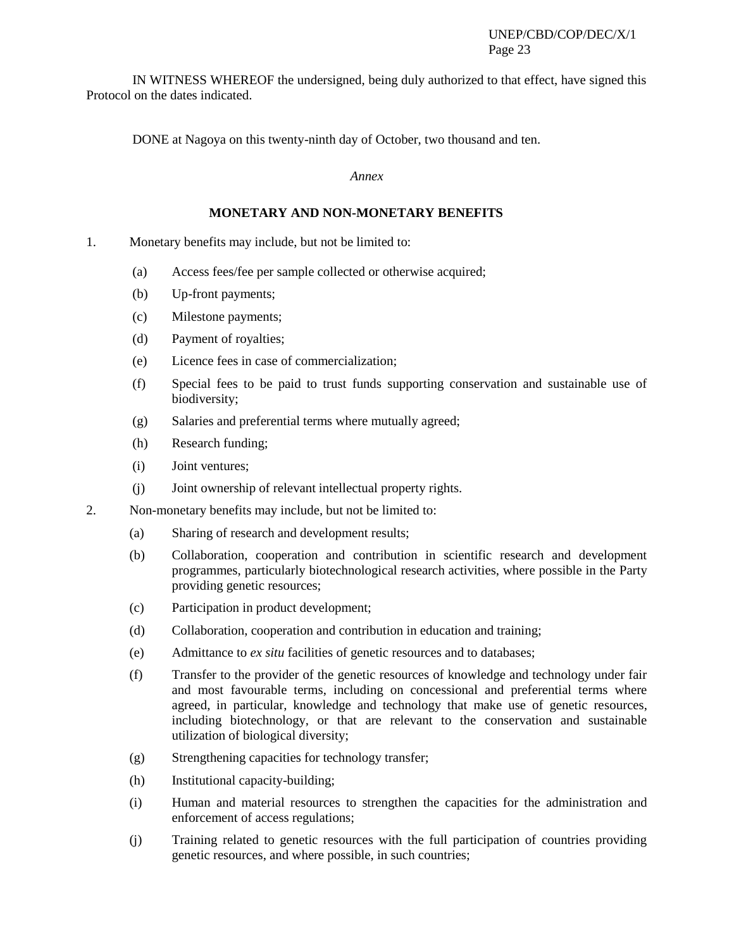IN WITNESS WHEREOF the undersigned, being duly authorized to that effect, have signed this Protocol on the dates indicated.

DONE at Nagoya on this twenty-ninth day of October, two thousand and ten.

#### *Annex*

### **MONETARY AND NON-MONETARY BENEFITS**

- 1. Monetary benefits may include, but not be limited to:
	- (a) Access fees/fee per sample collected or otherwise acquired;
	- (b) Up-front payments;
	- (c) Milestone payments;
	- (d) Payment of royalties;
	- (e) Licence fees in case of commercialization;
	- (f) Special fees to be paid to trust funds supporting conservation and sustainable use of biodiversity;
	- (g) Salaries and preferential terms where mutually agreed;
	- (h) Research funding;
	- (i) Joint ventures;
	- (j) Joint ownership of relevant intellectual property rights.
- 2. Non-monetary benefits may include, but not be limited to:
	- (a) Sharing of research and development results;
	- (b) Collaboration, cooperation and contribution in scientific research and development programmes, particularly biotechnological research activities, where possible in the Party providing genetic resources;
	- (c) Participation in product development;
	- (d) Collaboration, cooperation and contribution in education and training;
	- (e) Admittance to *ex situ* facilities of genetic resources and to databases;
	- (f) Transfer to the provider of the genetic resources of knowledge and technology under fair and most favourable terms, including on concessional and preferential terms where agreed, in particular, knowledge and technology that make use of genetic resources, including biotechnology, or that are relevant to the conservation and sustainable utilization of biological diversity;
	- (g) Strengthening capacities for technology transfer;
	- (h) Institutional capacity-building;
	- (i) Human and material resources to strengthen the capacities for the administration and enforcement of access regulations;
	- (j) Training related to genetic resources with the full participation of countries providing genetic resources, and where possible, in such countries;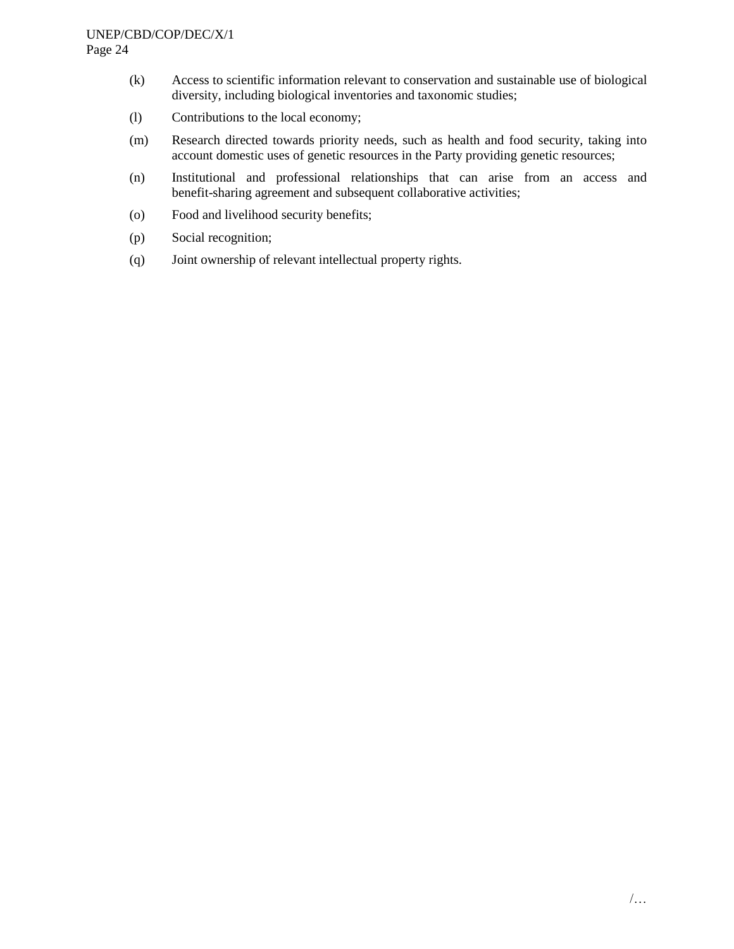- (k) Access to scientific information relevant to conservation and sustainable use of biological diversity, including biological inventories and taxonomic studies;
- (l) Contributions to the local economy;
- (m) Research directed towards priority needs, such as health and food security, taking into account domestic uses of genetic resources in the Party providing genetic resources;
- (n) Institutional and professional relationships that can arise from an access and benefit-sharing agreement and subsequent collaborative activities;
- (o) Food and livelihood security benefits;
- (p) Social recognition;
- (q) Joint ownership of relevant intellectual property rights.